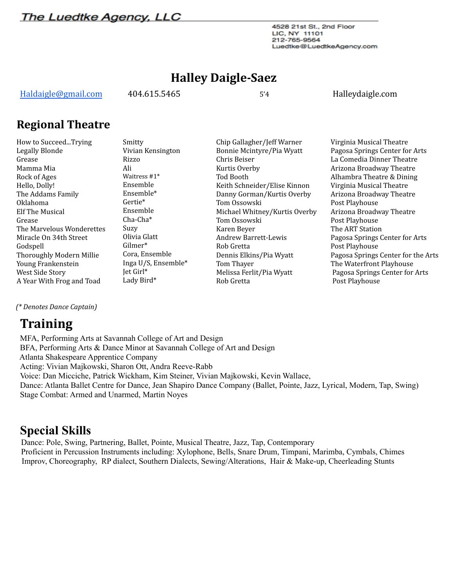**The Luedtke Agency, LLC** 

4528 21st St., 2nd Floor LIC, NY 11101 212-765-9564 Luedtke@LuedtkeAgency.com

### **Halley Daigle-Saez**

[Haldaigle@gmail.com](mailto:Haldaigle@gmail.com) 404.615.5465 5'4 Halleydaigle.com

### **Regional Theatre**

How to Succeed...Trying Legally Blonde Grease Mamma Mia Rock of Ages Hello, Dolly! The Addams Family Oklahoma Elf The Musical Grease The Marvelous Wonderettes Miracle On 34th Street Godspell Thoroughly Modern Millie Young Frankenstein West Side Story A Year With Frog and Toad Smitty Vivian Kensington Rizzo Ali Waitress #1\* Ensemble Ensemble\* Gertie\* Ensemble Cha-Cha\* Suzy Olivia Glatt Gilmer\* Cora, Ensemble Inga U/S, Ensemble\* Jet Girl\* Lady Bird\*

Chip Gallagher/Jeff Warner Bonnie Mcintyre/Pia Wyatt Chris Beiser Kurtis Overby Tod Booth Keith Schneider/Elise Kinnon Danny Gorman/Kurtis Overby Tom Ossowski Michael Whitney/Kurtis Overby Tom Ossowski Karen Beyer Andrew Barrett-Lewis Rob Gretta Dennis Elkins/Pia Wyatt Tom Thayer Melissa Ferlit/Pia Wyatt Rob Gretta

Virginia Musical Theatre Pagosa Springs Center for Arts La Comedia Dinner Theatre Arizona Broadway Theatre Alhambra Theatre & Dining Virginia Musical Theatre Arizona Broadway Theatre Post Playhouse Arizona Broadway Theatre Post Playhouse The ART Station Pagosa Springs Center for Arts Post Playhouse Pagosa Springs Center for the Arts The Waterfront Playhouse Pagosa Springs Center for Arts Post Playhouse

*(\* Denotes Dance Captain)*

# **Training**

MFA, Performing Arts at Savannah College of Art and Design BFA, Performing Arts & Dance Minor at Savannah College of Art and Design Atlanta Shakespeare Apprentice Company Acting: Vivian Majkowski, Sharon Ott, Andra Reeve-Rabb Voice: Dan Micciche, Patrick Wickham, Kim Steiner, Vivian Majkowski, Kevin Wallace, Dance: Atlanta Ballet Centre for Dance, Jean Shapiro Dance Company (Ballet, Pointe, Jazz, Lyrical, Modern, Tap, Swing) Stage Combat: Armed and Unarmed, Martin Noyes

## **Special Skills**

Dance: Pole, Swing, Partnering, Ballet, Pointe, Musical Theatre, Jazz, Tap, Contemporary Proficient in Percussion Instruments including: Xylophone, Bells, Snare Drum, Timpani, Marimba, Cymbals, Chimes Improv, Choreography, RP dialect, Southern Dialects, Sewing/Alterations, Hair & Make-up, Cheerleading Stunts